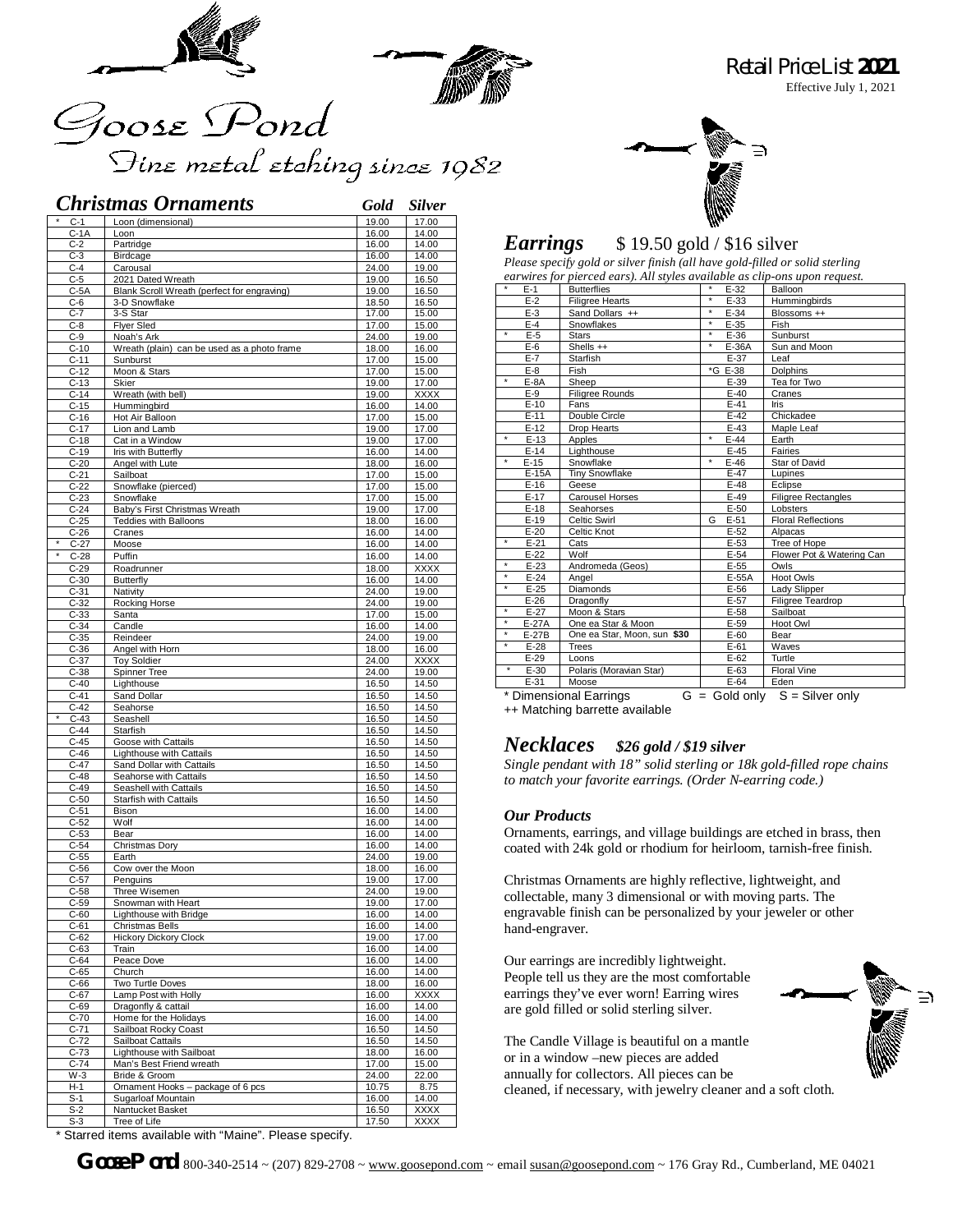

# Goose Pond Fine metal etching since 1982

|                      | <b>Christmas Ornaments</b>                          | Gold           | <b>Silver</b>        |
|----------------------|-----------------------------------------------------|----------------|----------------------|
| $C-1$                | Loon (dimensional)                                  | 19.00          | 17.00                |
| $C-1A$               | Loon                                                | 16.00          | 14.00                |
| $C-2$                | Partridge                                           | 16.00          | 14.00                |
| $C-3$                | Birdcage                                            | 16.00          | 14.00                |
| $C-4$                | Carousal                                            | 24.00          | 19.00                |
| $C-5$                | 2021 Dated Wreath                                   | 19.00          | 16.50                |
| $C-5A$               | Blank Scroll Wreath (perfect for engraving)         | 19.00          | 16.50                |
| $C-6$                | 3-D Snowflake                                       | 18.50          | 16.50                |
| $C-7$<br>$C-8$       | 3-S Star<br><b>Flyer Sled</b>                       | 17.00<br>17.00 | 15.00<br>15.00       |
| $C-9$                | Noah's Ark                                          | 24.00          | 19.00                |
| $C-10$               | Wreath (plain) can be used as a photo frame         | 18.00          | 16.00                |
| $C-11$               | Sunburst                                            | 17.00          | 15.00                |
| $C-12$               | Moon & Stars                                        | 17.00          | 15.00                |
| $C-13$               | Skier                                               | 19.00          | 17.00                |
| $C-14$               | Wreath (with bell)                                  | 19.00          | <b>XXXX</b>          |
| $C-15$<br>$C-16$     | Hummingbird<br>Hot Air Balloon                      | 16.00<br>17.00 | 14.00                |
| $C-17$               | Lion and Lamb                                       | 19.00          | 15.00<br>17.00       |
| $C-18$               | Cat in a Window                                     | 19.00          | 17.00                |
| $C-19$               | Iris with Butterfly                                 | 16.00          | 14.00                |
| $C-20$               | Angel with Lute                                     | 18.00          | 16.00                |
| $C-21$               | Sailboat                                            | 17.00          | 15.00                |
| $C-22$               | Snowflake (pierced)                                 | 17.00          | 15.00                |
| $C-23$               | Snowflake                                           | 17.00          | 15.00                |
| $C-24$               | Baby's First Christmas Wreath                       | 19.00          | 17.00                |
| $C-25$<br>$C-26$     | <b>Teddies with Balloons</b><br>Cranes              | 18.00<br>16.00 | 16.00<br>14.00       |
| $C-27$               | Moose                                               | 16.00          | 14.00                |
| $^{\star}$<br>$C-28$ | Puffin                                              | 16.00          | 14.00                |
| $C-29$               | Roadrunner                                          | 18.00          | <b>XXXX</b>          |
| $C-30$               | <b>Butterfly</b>                                    | 16.00          | 14.00                |
| $C-31$               | Nativity                                            | 24.00          | 19.00                |
| $C-32$               | Rocking Horse                                       | 24.00          | 19.00                |
| $C-33$               | Santa                                               | 17.00          | 15.00                |
| $C-34$               | Candle                                              | 16.00          | 14.00                |
| $C-35$               | Reindeer                                            | 24.00          | 19.00                |
| $C-36$               | Angel with Horn<br><b>Toy Soldier</b>               | 18.00          | 16.00<br><b>XXXX</b> |
| $C-37$<br>$C-38$     | Spinner Tree                                        | 24.00<br>24.00 | 19.00                |
| $C-40$               | Lighthouse                                          | 16.50          | 14.50                |
| $C-41$               | Sand Dollar                                         | 16.50          | 14.50                |
| $C-42$               | Seahorse                                            | 16.50          | 14.50                |
| $C-43$               | Seashell                                            | 16.50          | 14.50                |
| $C-44$               | Starfish                                            | 16.50          | 14.50                |
| $C-45$               | Goose with Cattails                                 | 16.50          | 14.50                |
| $C-46$               | Lighthouse with Cattails                            | 16.50          | 14.50                |
| $C-47$<br>$C-48$     | Sand Dollar with Cattails<br>Seahorse with Cattails | 16.50<br>16.50 | 14.50<br>14.50       |
| $C-49$               | Seashell with Cattails                              | 16.50          | 14.50                |
| $C-50$               | Starfish with Cattails                              | 16.50          | 14.50                |
| $C-51$               | Bison                                               | 16.00          | 14.00                |
| $C-52$               | Wolf                                                | 16.00          | 14.00                |
| $C-53$               | Bear                                                | 16.00          | 14.00                |
| $C-54$               | Christmas Dory                                      | 16.00          | 14.00                |
| $C-55$               | Earth                                               | 24.00          | 19.00                |
| $C-56$               | Cow over the Moon                                   | 18.00          | 16.00                |
| $C-57$<br>C-58       | Penguins<br>Three Wisemen                           | 19.00<br>24.00 | 17.00<br>19.00       |
| $C-59$               | Snowman with Heart                                  | 19.00          | 17.00                |
| $C-60$               | Lighthouse with Bridge                              | 16.00          | 14.00                |
| C-61                 | Christmas Bells                                     | 16.00          | 14.00                |
| $C-62$               | <b>Hickory Dickory Clock</b>                        | 19.00          | 17.00                |
| $C-63$               | Train                                               | 16.00          | 14.00                |
| C-64                 | Peace Dove                                          | 16.00          | 14.00                |
| $C-65$               | Church                                              | 16.00          | 14.00                |
| $C-66$               | Two Turtle Doves<br>Lamp Post with Holly            | 18.00          | 16.00                |
| $C-67$<br>$C-69$     | Dragonfly & cattail                                 | 16.00<br>16.00 | XXXX<br>14.00        |
| $C-70$               | Home for the Holidays                               | 16.00          | 14.00                |
| $C-71$               | Sailboat Rocky Coast                                | 16.50          | 14.50                |
| $C-72$               | Sailboat Cattails                                   | 16.50          | 14.50                |
| $C-73$               | Lighthouse with Sailboat                            | 18.00          | 16.00                |
| $C-74$               | Man's Best Friend wreath                            | 17.00          | 15.00                |
| W-3                  | Bride & Groom                                       | 24.00          | 22.00                |
| H-1                  | Ornament Hooks - package of 6 pcs                   | 10.75          | 8.75                 |
| $S-1$                | Sugarloaf Mountain                                  | 16.00          | 14.00                |
| $S-2$<br>$S-3$       | Nantucket Basket<br>Tree of Life                    | 16.50          | XXXX<br>XXXX         |
|                      |                                                     | 17.50          |                      |



*Retail Price List 2021*

Effective July 1, 2021

#### *Earrings* \$19.50 gold / \$16 silver

*Please specify gold or silver finish (all have gold-filled or solid sterling earwires for pierced ears). All styles available as clip-ons upon request.*

| *        | $E-1$   | <b>Butterflies</b>          | *<br>E-32                   | Balloon                    |
|----------|---------|-----------------------------|-----------------------------|----------------------------|
|          | $E-2$   | <b>Filigree Hearts</b>      | $\overline{\ast}$<br>$E-33$ | Hummingbirds               |
|          | $E-3$   | Sand Dollars ++             | $\star$<br>$E-34$           | Blossoms ++                |
|          | $E-4$   | Snowflakes                  | $\star$<br>$E-35$           | Fish                       |
| ¥        | $E-5$   | <b>Stars</b>                | $\star$<br>$E-36$           | Sunburst                   |
|          | $E-6$   | Shells ++                   | $\star$<br>E-36A            | Sun and Moon               |
|          | $E-7$   | Starfish                    | $E-37$                      | Leaf                       |
|          | $E-8$   | Fish                        | *G E-38                     | <b>Dolphins</b>            |
| $^\star$ | $E-8A$  | Sheep                       | $E-39$                      | Tea for Two                |
|          | $E-9$   | Filigree Rounds             | $E-40$                      | Cranes                     |
|          | $E-10$  | Fans                        | $E-41$                      | Iris                       |
|          | $E-11$  | Double Circle               | $E-42$                      | Chickadee                  |
|          | $E-12$  | Drop Hearts                 | $E-43$                      | Maple Leaf                 |
| $\star$  | $E-13$  | Apples                      | $\star$<br>$E-44$           | Earth                      |
|          | $E-14$  | Lighthouse                  | $E-45$                      | Fairies                    |
| $^\star$ | $E-15$  | Snowflake                   | $\star$<br>$E-46$           | Star of David              |
|          | $E-15A$ | <b>Tiny Snowflake</b>       | $E-47$                      | Lupines                    |
|          | $E-16$  | Geese                       | $E-48$                      | Eclipse                    |
|          | $E-17$  | <b>Carousel Horses</b>      | $E-49$                      | <b>Filigree Rectangles</b> |
|          | $E-18$  | Seahorses                   | $E-50$                      | Lobsters                   |
|          | $E-19$  | Celtic Swirl                | $E-51$<br>G                 | <b>Floral Reflections</b>  |
|          | $E-20$  | Celtic Knot                 | $E-52$                      | Alpacas                    |
| $\star$  | $E-21$  | Cats                        | $E-53$                      | Tree of Hope               |
|          | $E-22$  | Wolf                        | $E-54$                      | Flower Pot & Watering Can  |
| $\star$  | $E-23$  | Andromeda (Geos)            | $E-55$                      | Owls                       |
| $\star$  | $E-24$  | Angel                       | E-55A                       | Hoot Owls                  |
| $\star$  | $E-25$  | Diamonds                    | $E-56$                      | Lady Slipper               |
|          | $E-26$  | Dragonfly                   | $E-57$                      | Filigree Teardrop          |
| $\star$  | $E-27$  | Moon & Stars                | $E-58$                      | Sailboat                   |
| $^\star$ | $E-27A$ | One ea Star & Moon          | $E-59$                      | Hoot Owl                   |
| $^\star$ | E-27B   | One ea Star, Moon, sun \$30 | $E-60$                      | Bear                       |
| $\star$  | $E-28$  | <b>Trees</b>                | $E-61$                      | Waves                      |
|          | $E-29$  | Loons                       | $E-62$                      | Turtle                     |
| ∗        | $E-30$  | Polaris (Moravian Star)     | $E-63$                      | <b>Floral Vine</b>         |
|          | $E-31$  | Moose                       | $E-64$                      | Eden                       |
|          |         |                             |                             |                            |

 $*$  Dimensional Earrings  $G =$  Gold only  $S =$  Silver only ++ Matching barrette available

#### *Necklaces \$26 gold / \$19 silver*

*Single pendant with 18" solid sterling or 18k gold-filled rope chains to match your favorite earrings. (Order N-earring code.)*

#### *Our Products*

Ornaments, earrings, and village buildings are etched in brass, then coated with 24k gold or rhodium for heirloom, tarnish-free finish.

Christmas Ornaments are highly reflective, lightweight, and collectable, many 3 dimensional or with moving parts. The engravable finish can be personalized by your jeweler or other hand-engraver.

Our earrings are incredibly lightweight. People tell us they are the most comfortable earrings they've ever worn! Earring wires are gold filled or solid sterling silver.



The Candle Village is beautiful on a mantle or in a window –new pieces are added annually for collectors. All pieces can be cleaned, if necessary, with jewelry cleaner and a soft cloth.

\* Starred items available with "Maine". Please specify.

*Goose Pond* 800-340-2514 ~ (207) 829-2708 ~ [www.goosepond.com](http://www.goosepond.com) ~ email [susan@goosepond.com](mailto:susan@goosepond.com) ~ 176 Gray Rd., Cumberland, ME 04021